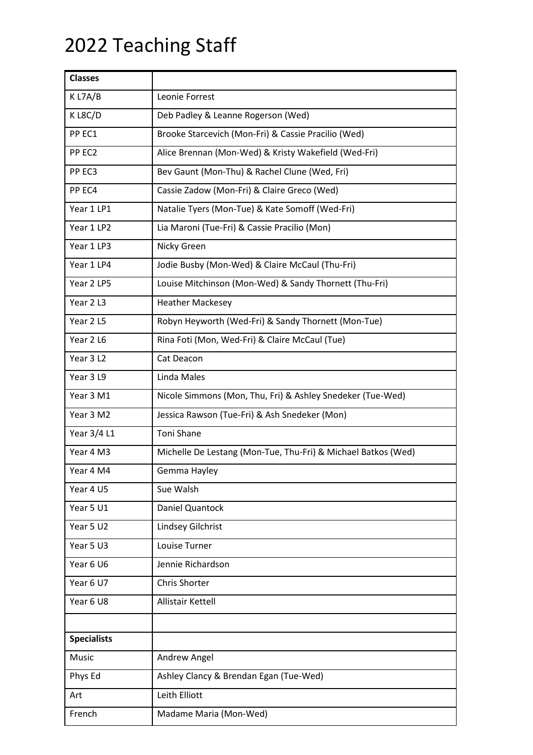## 2022 Teaching Staff

| <b>Classes</b>     |                                                               |  |
|--------------------|---------------------------------------------------------------|--|
| K L7A/B            | Leonie Forrest                                                |  |
| KL8C/D             | Deb Padley & Leanne Rogerson (Wed)                            |  |
| PP EC1             | Brooke Starcevich (Mon-Fri) & Cassie Pracilio (Wed)           |  |
| PP EC2             | Alice Brennan (Mon-Wed) & Kristy Wakefield (Wed-Fri)          |  |
| PP EC3             | Bev Gaunt (Mon-Thu) & Rachel Clune (Wed, Fri)                 |  |
| PP EC4             | Cassie Zadow (Mon-Fri) & Claire Greco (Wed)                   |  |
| Year 1 LP1         | Natalie Tyers (Mon-Tue) & Kate Somoff (Wed-Fri)               |  |
| Year 1 LP2         | Lia Maroni (Tue-Fri) & Cassie Pracilio (Mon)                  |  |
| Year 1 LP3         | Nicky Green                                                   |  |
| Year 1 LP4         | Jodie Busby (Mon-Wed) & Claire McCaul (Thu-Fri)               |  |
| Year 2 LP5         | Louise Mitchinson (Mon-Wed) & Sandy Thornett (Thu-Fri)        |  |
| Year 2 L3          | <b>Heather Mackesey</b>                                       |  |
| Year 2L5           | Robyn Heyworth (Wed-Fri) & Sandy Thornett (Mon-Tue)           |  |
| Year 2 L6          | Rina Foti (Mon, Wed-Fri) & Claire McCaul (Tue)                |  |
| Year 3 L2          | Cat Deacon                                                    |  |
| Year 3L9           | Linda Males                                                   |  |
| Year 3 M1          | Nicole Simmons (Mon, Thu, Fri) & Ashley Snedeker (Tue-Wed)    |  |
| Year 3 M2          | Jessica Rawson (Tue-Fri) & Ash Snedeker (Mon)                 |  |
| Year 3/4 L1        | Toni Shane                                                    |  |
| Year 4 M3          | Michelle De Lestang (Mon-Tue, Thu-Fri) & Michael Batkos (Wed) |  |
| Year 4 M4          | Gemma Hayley                                                  |  |
| Year 4 U5          | Sue Walsh                                                     |  |
| Year 5 U1          | Daniel Quantock                                               |  |
| Year 5 U2          | Lindsey Gilchrist                                             |  |
| Year 5 U3          | Louise Turner                                                 |  |
| Year 6 U6          | Jennie Richardson                                             |  |
| Year 6 U7          | Chris Shorter                                                 |  |
| Year 6 U8          | Allistair Kettell                                             |  |
|                    |                                                               |  |
| <b>Specialists</b> |                                                               |  |
| Music              | Andrew Angel                                                  |  |
| Phys Ed            | Ashley Clancy & Brendan Egan (Tue-Wed)                        |  |
| Art                | Leith Elliott                                                 |  |
| French             | Madame Maria (Mon-Wed)                                        |  |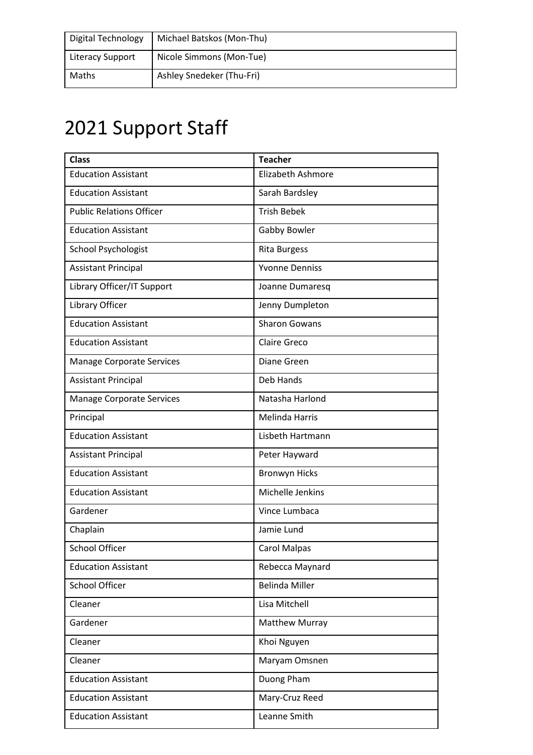| Digital Technology      | Michael Batskos (Mon-Thu) |
|-------------------------|---------------------------|
| <b>Literacy Support</b> | Nicole Simmons (Mon-Tue)  |
| Maths                   | Ashley Snedeker (Thu-Fri) |

## 2021 Support Staff

| <b>Class</b>                     | <b>Teacher</b>           |
|----------------------------------|--------------------------|
| <b>Education Assistant</b>       | <b>Elizabeth Ashmore</b> |
| <b>Education Assistant</b>       | Sarah Bardsley           |
| <b>Public Relations Officer</b>  | <b>Trish Bebek</b>       |
| <b>Education Assistant</b>       | Gabby Bowler             |
| School Psychologist              | <b>Rita Burgess</b>      |
| <b>Assistant Principal</b>       | <b>Yvonne Denniss</b>    |
| Library Officer/IT Support       | Joanne Dumaresq          |
| Library Officer                  | Jenny Dumpleton          |
| <b>Education Assistant</b>       | <b>Sharon Gowans</b>     |
| <b>Education Assistant</b>       | <b>Claire Greco</b>      |
| <b>Manage Corporate Services</b> | Diane Green              |
| <b>Assistant Principal</b>       | <b>Deb Hands</b>         |
| <b>Manage Corporate Services</b> | Natasha Harlond          |
| Principal                        | <b>Melinda Harris</b>    |
| <b>Education Assistant</b>       | Lisbeth Hartmann         |
| <b>Assistant Principal</b>       | Peter Hayward            |
| <b>Education Assistant</b>       | <b>Bronwyn Hicks</b>     |
| <b>Education Assistant</b>       | Michelle Jenkins         |
| Gardener                         | Vince Lumbaca            |
| Chaplain                         | Jamie Lund               |
| <b>School Officer</b>            | <b>Carol Malpas</b>      |
| <b>Education Assistant</b>       | Rebecca Maynard          |
| School Officer                   | <b>Belinda Miller</b>    |
| Cleaner                          | Lisa Mitchell            |
| Gardener                         | <b>Matthew Murray</b>    |
| Cleaner                          | Khoi Nguyen              |
| Cleaner                          | Maryam Omsnen            |
| <b>Education Assistant</b>       | Duong Pham               |
| <b>Education Assistant</b>       | Mary-Cruz Reed           |
| <b>Education Assistant</b>       | Leanne Smith             |